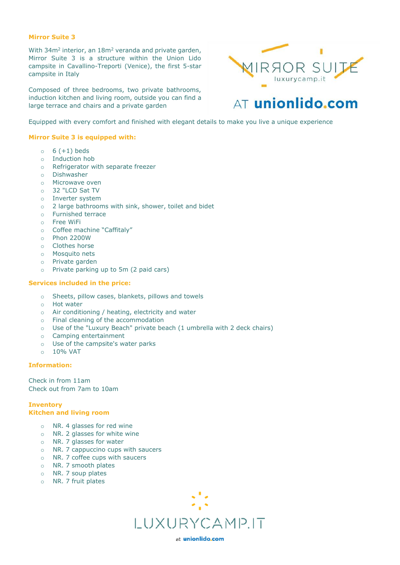# **Mirror Suite 3**

With 34m<sup>2</sup> interior, an 18m<sup>2</sup> veranda and private garden, Mirror Suite 3 is a structure within the Union Lido campsite in Cavallino-Treporti (Venice), the first 5-star campsite in Italy

Composed of three bedrooms, two private bathrooms, induction kitchen and living room, outside you can find a large terrace and chairs and a private garden



# AT unionlido.com

Equipped with every comfort and finished with elegant details to make you live a unique experience

# **Mirror Suite 3 is equipped with:**

- $\circ$  6 (+1) beds
- o Induction hob
- o Refrigerator with separate freezer
- o Dishwasher
- o Microwave oven
- o 32 "LCD Sat TV
- o Inverter system
- o 2 large bathrooms with sink, shower, toilet and bidet
- o Furnished terrace
- o Free WiFi
- o Coffee machine "Caffitaly"
- o Phon 2200W
- o Clothes horse
- o Mosquito nets
- o Private garden
- o Private parking up to 5m (2 paid cars)

# **Services included in the price:**

- o Sheets, pillow cases, blankets, pillows and towels
- o Hot water
- o Air conditioning / heating, electricity and water
- o Final cleaning of the accommodation
- o Use of the "Luxury Beach" private beach (1 umbrella with 2 deck chairs)
- o Camping entertainment
- o Use of the campsite's water parks
- o 10% VAT

#### **Information:**

Check in from 11am Check out from 7am to 10am

## **Inventory Kitchen and living room**

- o NR. 4 glasses for red wine
- o NR. 2 glasses for white wine
- o NR. 7 glasses for water
- o NR. 7 cappuccino cups with saucers
- o NR. 7 coffee cups with saucers
- o NR. 7 smooth plates
- o NR. 7 soup plates
- o NR. 7 fruit plates



at unionlido.com